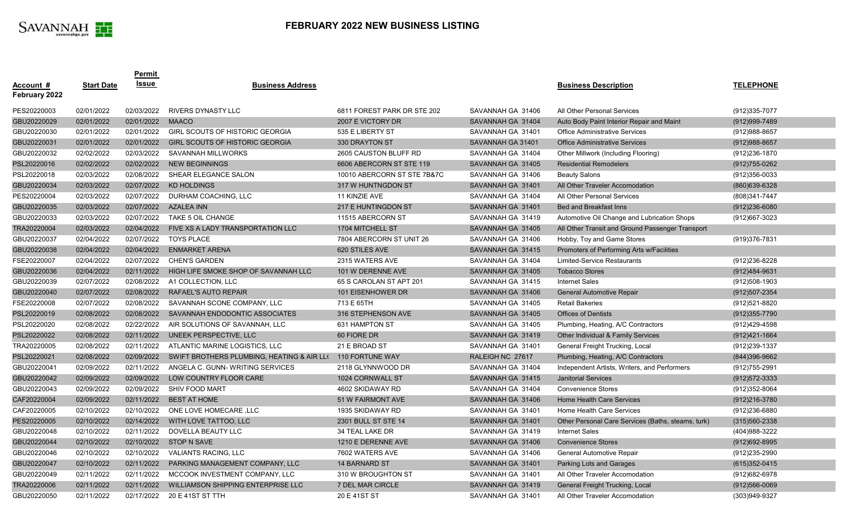|                                   |                   | <b>Permit</b>    |                                                            |                             |                   |                                                    |                   |
|-----------------------------------|-------------------|------------------|------------------------------------------------------------|-----------------------------|-------------------|----------------------------------------------------|-------------------|
| <u>Account #</u><br>February 2022 | <b>Start Date</b> | <u>Issue</u>     | <b>Business Address</b>                                    |                             |                   | <b>Business Description</b>                        | <b>TELEPHONE</b>  |
| PES20220003                       | 02/01/2022        | 02/03/2022       | <b>RIVERS DYNASTY LLC</b>                                  | 6811 FOREST PARK DR STE 202 | SAVANNAH GA 31406 | All Other Personal Services                        | (912) 335-7077    |
| GBU20220029                       | 02/01/2022        | 02/01/2022 MAACO |                                                            | 2007 E VICTORY DR           | SAVANNAH GA 31404 | Auto Body Paint Interior Repair and Maint          | (912) 999-7489    |
| GBU20220030                       | 02/01/2022        | 02/01/2022       | GIRL SCOUTS OF HISTORIC GEORGIA                            | 535 E LIBERTY ST            | SAVANNAH GA 31401 | <b>Office Administrative Services</b>              | $(912)988-8657$   |
| GBU20220031                       | 02/01/2022        | 02/01/2022       | GIRL SCOUTS OF HISTORIC GEORGIA                            | 330 DRAYTON ST              | SAVANNAH GA 31401 | <b>Office Administrative Services</b>              | $(912)988 - 8657$ |
| GBU20220032                       | 02/02/2022        | 02/03/2022       | SAVANNAH MILLWORKS                                         | 2605 CAUSTON BLUFF RD       | SAVANNAH GA 31404 | Other Millwork (Including Flooring)                | (912) 236-1870    |
| PSL20220016                       | 02/02/2022        | 02/02/2022       | <b>NEW BEGINNINGS</b>                                      | 6606 ABERCORN ST STE 119    | SAVANNAH GA 31405 | <b>Residential Remodelers</b>                      | $(912)755 - 0262$ |
| PSL20220018                       | 02/03/2022        | 02/08/2022       | SHEAR ELEGANCE SALON                                       | 10010 ABERCORN ST STE 7B&7C | SAVANNAH GA 31406 | <b>Beauty Salons</b>                               | $(912)356 - 0033$ |
| GBU20220034                       | 02/03/2022        | 02/07/2022       | KD HOLDINGS                                                | 317 W HUNTNGDON ST          | SAVANNAH GA 31401 | All Other Traveler Accomodation                    | (860) 639-6328    |
| PES20220004                       | 02/03/2022        | 02/07/2022       | DURHAM COACHING, LLC                                       | 11 KINZIE AVE               | SAVANNAH GA 31404 | All Other Personal Services                        | (808) 341-7447    |
| GBU20220035                       | 02/03/2022        | 02/07/2022       | <b>AZALEA INN</b>                                          | 217 E HUNTINGDON ST         | SAVANNAH GA 31401 | Bed and Breakfast Inns                             | $(912)236 - 6080$ |
| GBU20220033                       | 02/03/2022        | 02/07/2022       | TAKE 5 OIL CHANGE                                          | 11515 ABERCORN ST           | SAVANNAH GA 31419 | Automotive Oil Change and Lubrication Shops        | (912)667-3023     |
| TRA20220004                       | 02/03/2022        | 02/04/2022       | FIVE XS A LADY TRANSPORTATION LLC                          | 1704 MITCHELL ST            | SAVANNAH GA 31405 | All Other Transit and Ground Passenger Transport   |                   |
| GBU20220037                       | 02/04/2022        |                  | 02/07/2022 TOYS PLACE                                      | 7804 ABERCORN ST UNIT 26    | SAVANNAH GA 31406 | Hobby, Toy and Game Stores                         | (919) 376-7831    |
| GBU20220038                       | 02/04/2022        | 02/04/2022       | <b>ENMARKET ARENA</b>                                      | 620 STILES AVE              | SAVANNAH GA 31415 | Promoters of Performing Arts w/Facilities          |                   |
| FSE20220007                       | 02/04/2022        |                  | 02/07/2022 CHEN'S GARDEN                                   | 2315 WATERS AVE             | SAVANNAH GA 31404 | <b>Limited-Service Restaurants</b>                 | (912) 236-8228    |
| GBU20220036                       | 02/04/2022        | 02/11/2022       | HIGH LIFE SMOKE SHOP OF SAVANNAH LLC                       | 101 W DERENNE AVE           | SAVANNAH GA 31405 | <b>Tobacco Stores</b>                              | $(912)484-9631$   |
| GBU20220039                       | 02/07/2022        | 02/08/2022       | A1 COLLECTION, LLC                                         | 65 S CAROLAN ST APT 201     | SAVANNAH GA 31415 | <b>Internet Sales</b>                              | (912)508-1903     |
| GBU20220040                       | 02/07/2022        | 02/08/2022       | RAFAEL'S AUTO REPAIR                                       | 101 EISENHOWER DR           | SAVANNAH GA 31406 | <b>General Automotive Repair</b>                   | $(912)507 - 2354$ |
| FSE20220008                       | 02/07/2022        | 02/08/2022       | SAVANNAH SCONE COMPANY, LLC                                | 713 E 65TH                  | SAVANNAH GA 31405 | <b>Retail Bakeries</b>                             | (912)521-8820     |
| PSL20220019                       | 02/08/2022        | 02/08/2022       | SAVANNAH ENDODONTIC ASSOCIATES                             | 316 STEPHENSON AVE          | SAVANNAH GA 31405 | <b>Offices of Dentists</b>                         | $(912)355 - 7790$ |
| PSL20220020                       | 02/08/2022        | 02/22/2022       | AIR SOLUTIONS OF SAVANNAH, LLC                             | 631 HAMPTON ST              | SAVANNAH GA 31405 | Plumbing, Heating, A/C Contractors                 | (912)429-4598     |
| PSL20220022                       | 02/08/2022        | 02/11/2022       | UNEEK PERSPECTIVE, LLC                                     | 60 FIORE DR                 | SAVANNAH GA 31419 | Other Individual & Family Services                 | $(912)421 - 1664$ |
| TRA20220005                       | 02/08/2022        | 02/11/2022       | ATLANTIC MARINE LOGISTICS, LLC                             | 21 E BROAD ST               | SAVANNAH GA 31401 | General Freight Trucking, Local                    | (912) 239-1337    |
| PSL20220021                       | 02/08/2022        | 02/09/2022       | SWIFT BROTHERS PLUMBING, HEATING & AIR LL( 110 FORTUNE WAY |                             | RALEIGH NC 27617  | Plumbing, Heating, A/C Contractors                 | (844) 396-9662    |
| GBU20220041                       | 02/09/2022        | 02/11/2022       | ANGELA C. GUNN-WRITING SERVICES                            | 2118 GLYNNWOOD DR           | SAVANNAH GA 31404 | Independent Artists, Writers, and Performers       | (912) 755-2991    |
| GBU20220042                       | 02/09/2022        | 02/09/2022       | LOW COUNTRY FLOOR CARE                                     | 1024 CORNWALL ST            | SAVANNAH GA 31415 | <b>Janitorial Services</b>                         | $(912)572 - 3333$ |
| GBU20220043                       | 02/09/2022        | 02/09/2022       | <b>SHIV FOOD MART</b>                                      | 4602 SKIDAWAY RD            | SAVANNAH GA 31404 | <b>Convenience Stores</b>                          | (912) 352-8064    |
| CAF20220004                       | 02/09/2022        | 02/11/2022       | <b>BEST AT HOME</b>                                        | 51 W FAIRMONT AVE           | SAVANNAH GA 31406 | <b>Home Health Care Services</b>                   | (912)216-3780     |
| CAF20220005                       | 02/10/2022        | 02/10/2022       | ONE LOVE HOMECARE ,LLC                                     | 1935 SKIDAWAY RD            | SAVANNAH GA 31401 | Home Health Care Services                          | (912)236-6880     |
| PES20220005                       | 02/10/2022        | 02/14/2022       | WITH LOVE TATTOO, LLC                                      | 2301 BULL ST STE 14         | SAVANNAH GA 31401 | Other Personal Care Services (Baths, steams, turk) | $(315)560 - 2338$ |
| GBU20220048                       | 02/10/2022        | 02/11/2022       | DOVELLA BEAUTY LLC                                         | 34 TEAL LAKE DR             | SAVANNAH GA 31419 | <b>Internet Sales</b>                              | (404) 988-3222    |
| GBU20220044                       | 02/10/2022        |                  | 02/10/2022 STOP N SAVE                                     | 1210 E DERENNE AVE          | SAVANNAH GA 31406 | <b>Convenience Stores</b>                          | $(912)692 - 8995$ |
| GBU20220046                       | 02/10/2022        | 02/10/2022       | <b>VALIANTS RACING, LLC</b>                                | 7602 WATERS AVE             | SAVANNAH GA 31406 | General Automotive Repair                          | (912) 235-2990    |
| GBU20220047                       | 02/10/2022        | 02/11/2022       | PARKING MANAGEMENT COMPANY, LLC                            | <b>14 BARNARD ST</b>        | SAVANNAH GA 31401 | <b>Parking Lots and Garages</b>                    | $(615)352 - 0415$ |
| GBU20220049                       | 02/11/2022        | 02/11/2022       | MCCOOK INVESTMENT COMPANY, LLC                             | 310 W BROUGHTON ST          | SAVANNAH GA 31401 | All Other Traveler Accomodation                    | (912) 682-6978    |
| TRA20220006                       | 02/11/2022        | 02/11/2022       | WILLIAMSON SHIPPING ENTERPRISE LLC                         | 7 DEL MAR CIRCLE            | SAVANNAH GA 31419 | General Freight Trucking, Local                    | $(912)566 - 0069$ |
| GBU20220050                       | 02/11/2022        | 02/17/2022       | 20 E 41ST ST TTH                                           | 20 E 41ST ST                | SAVANNAH GA 31401 | All Other Traveler Accomodation                    | (303)949-9327     |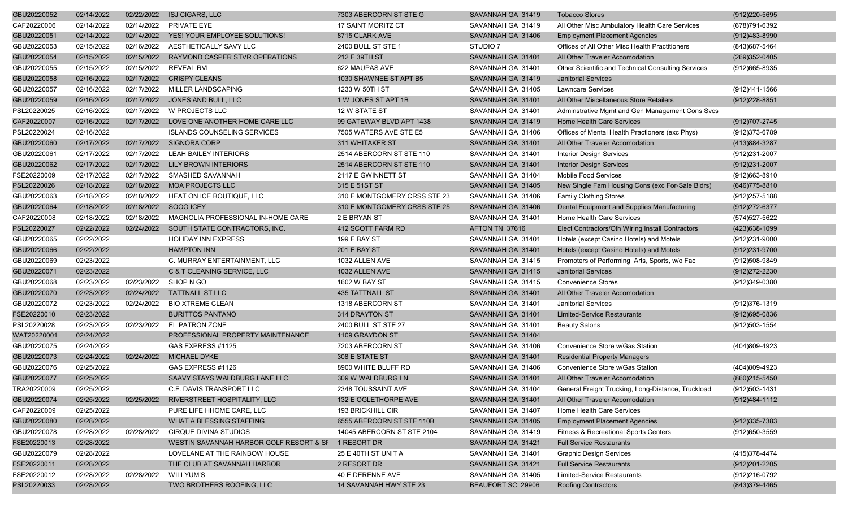| GBU20220052 | 02/14/2022 | 02/22/2022 | <b>ISJ CIGARS, LLC</b>                              | 7303 ABERCORN ST STE G       | SAVANNAH GA 31419   | <b>Tobacco Stores</b>                              | (912) 220-5695    |
|-------------|------------|------------|-----------------------------------------------------|------------------------------|---------------------|----------------------------------------------------|-------------------|
| CAF20220006 | 02/14/2022 | 02/14/2022 | PRIVATE EYE                                         | <b>17 SAINT MORITZ CT</b>    | SAVANNAH GA 31419   | All Other Misc Ambulatory Health Care Services     | (678) 791-6392    |
| GBU20220051 | 02/14/2022 | 02/14/2022 | YES! YOUR EMPLOYEE SOLUTIONS!                       | 8715 CLARK AVE               | SAVANNAH GA 31406   | <b>Employment Placement Agencies</b>               | (912)483-8990     |
| GBU20220053 | 02/15/2022 | 02/16/2022 | AESTHETICALLY SAVY LLC                              | 2400 BULL ST STE 1           | STUDIO <sub>7</sub> | Offices of All Other Misc Health Practitioners     | (843) 687-5464    |
| GBU20220054 | 02/15/2022 | 02/15/2022 | RAYMOND CASPER STVR OPERATIONS                      | 212 E 39TH ST                | SAVANNAH GA 31401   | All Other Traveler Accomodation                    | (269)352-0405     |
| GBU20220055 | 02/15/2022 | 02/15/2022 | <b>REVEAL RVI</b>                                   | 622 MAUPAS AVE               | SAVANNAH GA 31401   | Other Scientific and Technical Consulting Services | (912)665-8935     |
| GBU20220058 | 02/16/2022 | 02/17/2022 | <b>CRISPY CLEANS</b>                                | 1030 SHAWNEE ST APT B5       | SAVANNAH GA 31419   | <b>Janitorial Services</b>                         |                   |
| GBU20220057 | 02/16/2022 | 02/17/2022 | MILLER LANDSCAPING                                  | 1233 W 50TH ST               | SAVANNAH GA 31405   | <b>Lawncare Services</b>                           | (912)441-1566     |
| GBU20220059 | 02/16/2022 | 02/17/2022 | JONES AND BULL, LLC                                 | 1 W JONES ST APT 1B          | SAVANNAH GA 31401   | All Other Miscellaneous Store Retailers            | $(912)228 - 8851$ |
| PSL20220025 | 02/16/2022 | 02/17/2022 | W PROJECTS LLC                                      | 12 W STATE ST                | SAVANNAH GA 31401   | Adminstrative Mgmt and Gen Management Cons Svcs    |                   |
| CAF20220007 | 02/16/2022 | 02/17/2022 | LOVE ONE ANOTHER HOME CARE LLC                      | 99 GATEWAY BLVD APT 1438     | SAVANNAH GA 31419   | <b>Home Health Care Services</b>                   | (912)707-2745     |
| PSL20220024 | 02/16/2022 |            | <b>ISLANDS COUNSELING SERVICES</b>                  | 7505 WATERS AVE STE E5       | SAVANNAH GA 31406   | Offices of Mental Health Practioners (exc Phys)    | (912) 373-6789    |
| GBU20220060 | 02/17/2022 | 02/17/2022 | <b>SIGNORA CORP</b>                                 | 311 WHITAKER ST              | SAVANNAH GA 31401   | All Other Traveler Accomodation                    | (413) 884-3287    |
| GBU20220061 | 02/17/2022 | 02/17/2022 | <b>LEAH BAILEY INTERIORS</b>                        | 2514 ABERCORN ST STE 110     | SAVANNAH GA 31401   | <b>Interior Design Services</b>                    | (912) 231-2007    |
| GBU20220062 | 02/17/2022 | 02/17/2022 | <b>LILY BROWN INTERIORS</b>                         | 2514 ABERCORN ST STE 110     | SAVANNAH GA 31401   | <b>Interior Design Services</b>                    | (912)231-2007     |
| FSE20220009 | 02/17/2022 | 02/17/2022 | SMASHED SAVANNAH                                    | 2117 E GWINNETT ST           | SAVANNAH GA 31404   | Mobile Food Services                               | (912)663-8910     |
| PSL20220026 | 02/18/2022 | 02/18/2022 | <b>MOA PROJECTS LLC</b>                             | 315 E 51ST ST                | SAVANNAH GA 31405   | New Single Fam Housing Cons (exc For-Sale Bldrs)   | (646) 775-8810    |
| GBU20220063 | 02/18/2022 | 02/18/2022 | HEAT ON ICE BOUTIQUE, LLC                           | 310 E MONTGOMERY CRSS STE 23 | SAVANNAH GA 31406   | <b>Family Clothing Stores</b>                      | (912)257-5188     |
| GBU20220064 | 02/18/2022 | 02/18/2022 | SOOO ICEY                                           | 310 E MONTGOMERY CRSS STE 25 | SAVANNAH GA 31406   | Dental Equipment and Supplies Manufacturing        | (912) 272-6377    |
| CAF20220008 | 02/18/2022 | 02/18/2022 | MAGNOLIA PROFESSIONAL IN-HOME CARE                  | 2 E BRYAN ST                 | SAVANNAH GA 31401   | Home Health Care Services                          | (574)527-5622     |
| PSL20220027 | 02/22/2022 | 02/24/2022 | SOUTH STATE CONTRACTORS, INC.                       | 412 SCOTT FARM RD            | AFTON TN 37616      | Elect Contractors/Oth Wiring Install Contractors   | (423) 638-1099    |
| GBU20220065 | 02/22/2022 |            | <b>HOLIDAY INN EXPRESS</b>                          | <b>199 E BAY ST</b>          | SAVANNAH GA 31401   | Hotels (except Casino Hotels) and Motels           | (912)231-9000     |
| GBU20220066 | 02/22/2022 |            | <b>HAMPTON INN</b>                                  | 201 E BAY ST                 | SAVANNAH GA 31401   | Hotels (except Casino Hotels) and Motels           | (912)231-9700     |
| GBU20220069 | 02/23/2022 |            | C. MURRAY ENTERTAINMENT, LLC                        | 1032 ALLEN AVE               | SAVANNAH GA 31415   | Promoters of Performing Arts, Sports, w/o Fac      | (912)508-9849     |
| GBU20220071 | 02/23/2022 |            | C & T CLEANING SERVICE, LLC                         | 1032 ALLEN AVE               | SAVANNAH GA 31415   | <b>Janitorial Services</b>                         | (912) 272-2230    |
| GBU20220068 | 02/23/2022 | 02/23/2022 | SHOP N GO                                           | 1602 W BAY ST                | SAVANNAH GA 31415   | <b>Convenience Stores</b>                          | (912)349-0380     |
| GBU20220070 | 02/23/2022 | 02/24/2022 | <b>TATTNALL ST LLC</b>                              | <b>435 TATTNALL ST</b>       | SAVANNAH GA 31401   | All Other Traveler Accomodation                    |                   |
| GBU20220072 | 02/23/2022 | 02/24/2022 | <b>BIO XTREME CLEAN</b>                             | 1318 ABERCORN ST             | SAVANNAH GA 31401   | <b>Janitorial Services</b>                         | (912)376-1319     |
| FSE20220010 | 02/23/2022 |            | <b>BURITTOS PANTANO</b>                             | 314 DRAYTON ST               | SAVANNAH GA 31401   | <b>Limited-Service Restaurants</b>                 | $(912)695 - 0836$ |
| PSL20220028 | 02/23/2022 | 02/23/2022 | <b>EL PATRON ZONE</b>                               | 2400 BULL ST STE 27          | SAVANNAH GA 31401   | <b>Beauty Salons</b>                               | (912)503-1554     |
| WAT20220001 | 02/24/2022 |            | PROFESSIONAL PROPERTY MAINTENANCE                   | 1109 GRAYDON ST              | SAVANNAH GA 31404   |                                                    |                   |
| GBU20220075 | 02/24/2022 |            | GAS EXPRESS #1125                                   | 7203 ABERCORN ST             | SAVANNAH GA 31406   | Convenience Store w/Gas Station                    | $(404)809-4923$   |
| GBU20220073 | 02/24/2022 | 02/24/2022 | <b>MICHAEL DYKE</b>                                 | 308 E STATE ST               | SAVANNAH GA 31401   | <b>Residential Property Managers</b>               |                   |
| GBU20220076 | 02/25/2022 |            | GAS EXPRESS #1126                                   | 8900 WHITE BLUFF RD          | SAVANNAH GA 31406   | Convenience Store w/Gas Station                    | (404)809-4923     |
| GBU20220077 | 02/25/2022 |            | SAAVY STAYS WALDBURG LANE LLC                       | 309 W WALDBURG LN            | SAVANNAH GA 31401   | All Other Traveler Accomodation                    | (860)215-5450     |
| TRA20220009 | 02/25/2022 |            | C.F. DAVIS TRANSPORT LLC                            | 2348 TOUSSAINT AVE           | SAVANNAH GA 31404   | General Freight Trucking, Long-Distance, Truckload | (912) 503-1431    |
| GBU20220074 | 02/25/2022 | 02/25/2022 | RIVERSTREET HOSPITALITY, LLC                        | 132 E OGLETHORPE AVE         | SAVANNAH GA 31401   | All Other Traveler Accomodation                    | (912) 484-1112    |
| CAF20220009 | 02/25/2022 |            | PURE LIFE HHOME CARE, LLC                           | 193 BRICKHILL CIR            | SAVANNAH GA 31407   | Home Health Care Services                          |                   |
| GBU20220080 | 02/28/2022 |            | WHAT A BLESSING STAFFING                            | 6555 ABERCORN ST STE 110B    | SAVANNAH GA 31405   | <b>Employment Placement Agencies</b>               | $(912)335 - 7383$ |
| GBU20220078 | 02/28/2022 | 02/28/2022 | CIRQUE DIVINA STUDIOS                               | 14045 ABERCORN ST STE 2104   | SAVANNAH GA 31419   | Fitness & Recreational Sports Centers              | (912)650-3559     |
| FSE20220013 | 02/28/2022 |            | WESTIN SAVANNAH HARBOR GOLF RESORT & SF 1 RESORT DR |                              | SAVANNAH GA 31421   | <b>Full Service Restaurants</b>                    |                   |
| GBU20220079 | 02/28/2022 |            | LOVELANE AT THE RAINBOW HOUSE                       | 25 E 40TH ST UNIT A          | SAVANNAH GA 31401   | <b>Graphic Design Services</b>                     | (415) 378-4474    |
| FSE20220011 | 02/28/2022 |            | THE CLUB AT SAVANNAH HARBOR                         | 2 RESORT DR                  | SAVANNAH GA 31421   | <b>Full Service Restaurants</b>                    | (912) 201-2205    |
| FSE20220012 | 02/28/2022 | 02/28/2022 | <b>WILLYUM'S</b>                                    | 40 E DERENNE AVE             | SAVANNAH GA 31405   | Limited-Service Restaurants                        | (912)216-0792     |
| PSL20220033 | 02/28/2022 |            | TWO BROTHERS ROOFING, LLC                           | 14 SAVANNAH HWY STE 23       | BEAUFORT SC 29906   | Roofing Contractors                                | (843) 379-4465    |